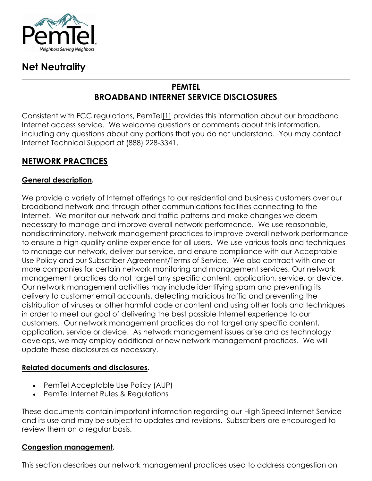

# **Net Neutrality**

# **PEMTEL BROADBAND INTERNET SERVICE DISCLOSURES**

Consistent with FCC regulations, PemT[el\[1\]](http://www.pemtel.com/net-neutrality1.html#_ftn1) provides this information about our broadband Internet access service. We welcome questions or comments about this information, including any questions about any portions that you do not understand. You may contact Internet Technical Support at (888) 228-3341.

# **NETWORK PRACTICES**

### **General description.**

We provide a variety of Internet offerings to our residential and business customers over our broadband network and through other communications facilities connecting to the Internet. We monitor our network and traffic patterns and make changes we deem necessary to manage and improve overall network performance. We use reasonable, nondiscriminatory, network management practices to improve overall network performance to ensure a high-quality online experience for all users. We use various tools and techniques to manage our network, deliver our service, and ensure compliance with our Acceptable Use Policy and our Subscriber Agreement/Terms of Service. We also contract with one or more companies for certain network monitoring and management services. Our network management practices do not target any specific content, application, service, or device. Our network management activities may include identifying spam and preventing its delivery to customer email accounts, detecting malicious traffic and preventing the distribution of viruses or other harmful code or content and using other tools and techniques in order to meet our goal of delivering the best possible Internet experience to our customers. Our network management practices do not target any specific content, application, service or device. As network management issues arise and as technology develops, we may employ additional or new network management practices. We will update these disclosures as necessary.

### **Related documents and disclosures.**

- PemTel Acceptable Use Policy (AUP)
- PemTel Internet Rules & Regulations

These documents contain important information regarding our High Speed Internet Service and its use and may be subject to updates and revisions. Subscribers are encouraged to review them on a regular basis.

#### **Congestion management.**

This section describes our network management practices used to address congestion on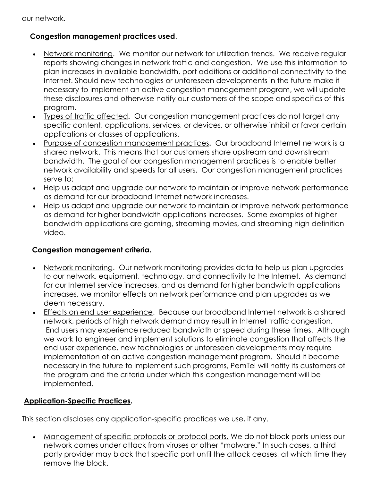### **Congestion management practices used**.

- Network monitoring. We monitor our network for utilization trends. We receive regular reports showing changes in network traffic and congestion. We use this information to plan increases in available bandwidth, port additions or additional connectivity to the Internet. Should new technologies or unforeseen developments in the future make it necessary to implement an active congestion management program, we will update these disclosures and otherwise notify our customers of the scope and specifics of this program.
- Types of traffic affected**.** Our congestion management practices do not target any specific content, applications, services, or devices, or otherwise inhibit or favor certain applications or classes of applications.
- Purpose of congestion management practices**.** Our broadband Internet network is a shared network. This means that our customers share upstream and downstream bandwidth. The goal of our congestion management practices is to enable better network availability and speeds for all users. Our congestion management practices serve to:
- Help us adapt and upgrade our network to maintain or improve network performance as demand for our broadband Internet network increases.
- Help us adapt and upgrade our network to maintain or improve network performance as demand for higher bandwidth applications increases. Some examples of higher bandwidth applications are gaming, streaming movies, and streaming high definition video.

### **Congestion management criteria.**

- Network monitoring. Our network monitoring provides data to help us plan upgrades to our network, equipment, technology, and connectivity to the Internet. As demand for our Internet service increases, and as demand for higher bandwidth applications increases, we monitor effects on network performance and plan upgrades as we deem necessary.
- Effects on end user experience. Because our broadband Internet network is a shared network, periods of high network demand may result in Internet traffic congestion. End users may experience reduced bandwidth or speed during these times. Although we work to engineer and implement solutions to eliminate congestion that affects the end user experience, new technologies or unforeseen developments may require implementation of an active congestion management program. Should it become necessary in the future to implement such programs, PemTel will notify its customers of the program and the criteria under which this congestion management will be implemented.

### **Application-Specific Practices.**

This section discloses any application-specific practices we use, if any.

• Management of specific protocols or protocol ports. We do not block ports unless our network comes under attack from viruses or other "malware." In such cases, a third party provider may block that specific port until the attack ceases, at which time they remove the block.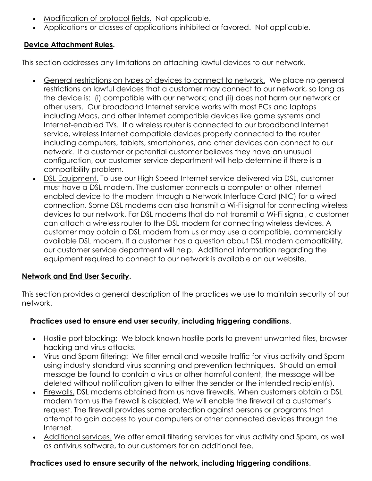- Modification of protocol fields. Not applicable.
- Applications or classes of applications inhibited or favored. Not applicable.

# **Device Attachment Rules.**

This section addresses any limitations on attaching lawful devices to our network.

- General restrictions on types of devices to connect to network. We place no general restrictions on lawful devices that a customer may connect to our network, so long as the device is: (i) compatible with our network; and (ii) does not harm our network or other users. Our broadband Internet service works with most PCs and laptops including Macs, and other Internet compatible devices like game systems and Internet-enabled TVs. If a wireless router is connected to our broadband Internet service, wireless Internet compatible devices properly connected to the router including computers, tablets, smartphones, and other devices can connect to our network. If a customer or potential customer believes they have an unusual configuration, our customer service department will help determine if there is a compatibility problem.
- DSL Equipment. To use our High Speed Internet service delivered via DSL, customer must have a DSL modem. The customer connects a computer or other Internet enabled device to the modem through a Network Interface Card (NIC) for a wired connection. Some DSL modems can also transmit a Wi-Fi signal for connecting wireless devices to our network. For DSL modems that do not transmit a Wi-Fi signal, a customer can attach a wireless router to the DSL modem for connecting wireless devices. A customer may obtain a DSL modem from us or may use a compatible, commercially available DSL modem. If a customer has a question about DSL modem compatibility, our customer service department will help. Additional information regarding the equipment required to connect to our network is available on our website.

### **Network and End User Security.**

This section provides a general description of the practices we use to maintain security of our network.

### **Practices used to ensure end user security, including triggering conditions**.

- Hostile port blocking: We block known hostile ports to prevent unwanted files, browser hacking and virus attacks.
- Virus and Spam filtering: We filter email and website traffic for virus activity and Spam using industry standard virus scanning and prevention techniques. Should an email message be found to contain a virus or other harmful content, the message will be deleted without notification given to either the sender or the intended recipient(s).
- Firewalls. DSL modems obtained from us have firewalls. When customers obtain a DSL modem from us the firewall is disabled. We will enable the firewall at a customer's request. The firewall provides some protection against persons or programs that attempt to gain access to your computers or other connected devices through the Internet.
- Additional services. We offer email filtering services for virus activity and Spam, as well as antivirus software, to our customers for an additional fee.

### **Practices used to ensure security of the network, including triggering conditions**.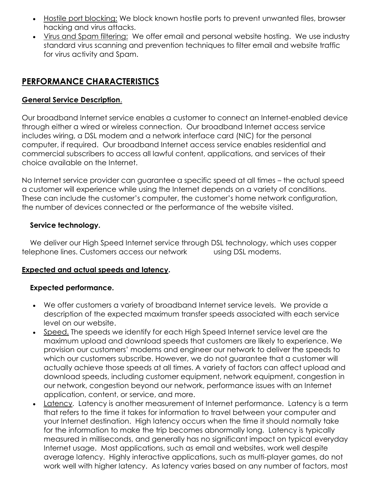- Hostile port blocking: We block known hostile ports to prevent unwanted files, browser hacking and virus attacks.
- Virus and Spam filtering: We offer email and personal website hosting. We use industry standard virus scanning and prevention techniques to filter email and website traffic for virus activity and Spam.

# **PERFORMANCE CHARACTERISTICS**

### **General Service Description**.

Our broadband Internet service enables a customer to connect an Internet-enabled device through either a wired or wireless connection. Our broadband Internet access service includes wiring, a DSL modem and a network interface card (NIC) for the personal computer, if required. Our broadband Internet access service enables residential and commercial subscribers to access all lawful content, applications, and services of their choice available on the Internet.

No Internet service provider can guarantee a specific speed at all times – the actual speed a customer will experience while using the Internet depends on a variety of conditions. These can include the customer's computer, the customer's home network configuration, the number of devices connected or the performance of the website visited.

### **Service technology.**

We deliver our High Speed Internet service through DSL technology, which uses copper telephone lines. Customers access our network using DSL modems.

### **Expected and actual speeds and latency.**

### **Expected performance.**

- We offer customers a variety of broadband Internet service levels. We provide a description of the expected maximum transfer speeds associated with each service level on our website.
- Speed. The speeds we identify for each High Speed Internet service level are the maximum upload and download speeds that customers are likely to experience. We provision our customers' modems and engineer our network to deliver the speeds to which our customers subscribe. However, we do not guarantee that a customer will actually achieve those speeds at all times. A variety of factors can affect upload and download speeds, including customer equipment, network equipment, congestion in our network, congestion beyond our network, performance issues with an Internet application, content, or service, and more.
- Latency. Latency is another measurement of Internet performance. Latency is a term that refers to the time it takes for information to travel between your computer and your Internet destination. High latency occurs when the time it should normally take for the information to make the trip becomes abnormally long. Latency is typically measured in milliseconds, and generally has no significant impact on typical everyday Internet usage. Most applications, such as email and websites, work well despite average latency. Highly interactive applications, such as multi-player games, do not work well with higher latency. As latency varies based on any number of factors, most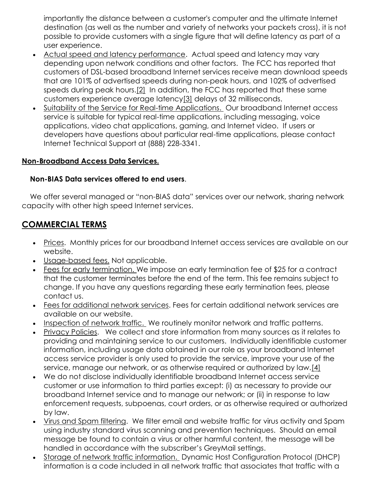importantly the distance between a customer's computer and the ultimate Internet destination (as well as the number and variety of networks your packets cross), it is not possible to provide customers with a single figure that will define latency as part of a user experience.

- Actual speed and latency performance. Actual speed and latency may vary depending upon network conditions and other factors. The FCC has reported that customers of DSL-based broadband Internet services receive mean download speeds that are 101% of advertised speeds during non-peak hours, and 102% of advertised speeds during peak hours[.\[2\]](http://www.pemtel.com/net-neutrality1.html#_ftn2) In addition, the FCC has reported that these same customers experience average latenc[y\[3\]](http://www.pemtel.com/net-neutrality1.html#_ftn3) delays of 32 milliseconds.
- Suitability of the Service for Real-time Applications. Our broadband Internet access service is suitable for typical real-time applications, including messaging, voice applications, video chat applications, gaming, and Internet video. If users or developers have questions about particular real-time applications, please contact Internet Technical Support at (888) 228-3341.

#### **Non-Broadband Access Data Services.**

#### **Non-BIAS Data services offered to end users**.

We offer several managed or "non-BIAS data" services over our network, sharing network capacity with other high speed Internet services.

# **COMMERCIAL TERMS**

- Prices. Monthly prices for our broadband Internet access services are available on our website.
- Usage-based fees. Not applicable.
- Fees for early termination. We impose an early termination fee of \$25 for a contract that the customer terminates before the end of the term. This fee remains subject to change. If you have any questions regarding these early termination fees, please contact us.
- Fees for additional network services. Fees for certain additional network services are available on our website.
- Inspection of network traffic. We routinely monitor network and traffic patterns.
- Privacy Policies. We collect and store information from many sources as it relates to providing and maintaining service to our customers. Individually identifiable customer information, including usage data obtained in our role as your broadband Internet access service provider is only used to provide the service, improve your use of the service, manage our network, or as otherwise required or authorized by law[.\[4\]](http://www.pemtel.com/net-neutrality1.html#_ftn4)
- We do not disclose individually identifiable broadband Internet access service customer or use information to third parties except: (i) as necessary to provide our broadband Internet service and to manage our network; or (ii) in response to law enforcement requests, subpoenas, court orders, or as otherwise required or authorized by law.
- Virus and Spam filtering. We filter email and website traffic for virus activity and Spam using industry standard virus scanning and prevention techniques. Should an email message be found to contain a virus or other harmful content, the message will be handled in accordance with the subscriber's GreyMail settings.
- Storage of network traffic information. Dynamic Host Configuration Protocol (DHCP) information is a code included in all network traffic that associates that traffic with a